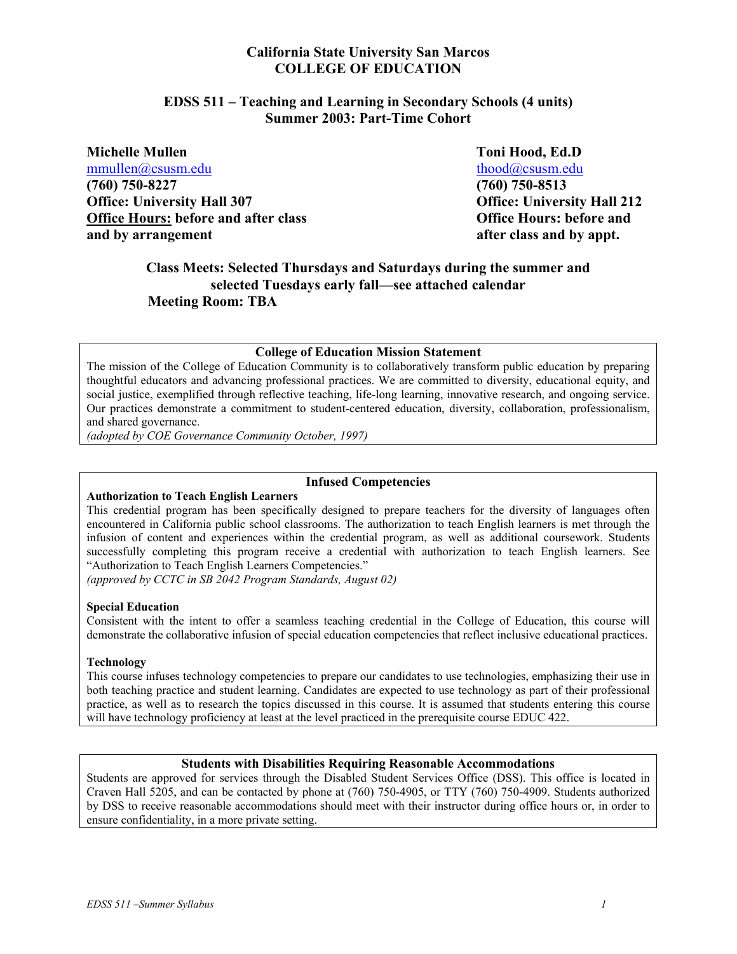# **California State University San Marcos COLLEGE OF EDUCATION**

## **EDSS 511 – Teaching and Learning in Secondary Schools (4 units) Summer 2003: Part-Time Cohort**

**Michelle Mullen Toni Hood, Ed.D**  [mmullen@csusm.edu](mailto:mmullen@mailhost1.csusm.edu) [thood@csusm.edu](mailto:thood@csusm.edu) thood@csusm.edu **(760) 750-8227 (760) 750-8513 Office: University Hall 307 Office: University Hall 212**  Office Hours: before and after class **Office Hours: before and and by arrangement after class and by appt.** 

# **Class Meets: Selected Thursdays and Saturdays during the summer and selected Tuesdays early fall—see attached calendar Meeting Room: TBA**

### **College of Education Mission Statement**

The mission of the College of Education Community is to collaboratively transform public education by preparing thoughtful educators and advancing professional practices. We are committed to diversity, educational equity, and social justice, exemplified through reflective teaching, life-long learning, innovative research, and ongoing service. Our practices demonstrate a commitment to student-centered education, diversity, collaboration, professionalism, and shared governance.

*(adopted by COE Governance Community October, 1997)*

#### **Infused Competencies**

#### **Authorization to Teach English Learners**

This credential program has been specifically designed to prepare teachers for the diversity of languages often encountered in California public school classrooms. The authorization to teach English learners is met through the infusion of content and experiences within the credential program, as well as additional coursework. Students successfully completing this program receive a credential with authorization to teach English learners. See "Authorization to Teach English Learners Competencies."

*(approved by CCTC in SB 2042 Program Standards, August 02)*

#### **Special Education**

Consistent with the intent to offer a seamless teaching credential in the College of Education, this course will demonstrate the collaborative infusion of special education competencies that reflect inclusive educational practices.

#### **Technology**

This course infuses technology competencies to prepare our candidates to use technologies, emphasizing their use in both teaching practice and student learning. Candidates are expected to use technology as part of their professional practice, as well as to research the topics discussed in this course. It is assumed that students entering this course will have technology proficiency at least at the level practiced in the prerequisite course EDUC 422.

#### **Students with Disabilities Requiring Reasonable Accommodations**

Students are approved for services through the Disabled Student Services Office (DSS). This office is located in Craven Hall 5205, and can be contacted by phone at (760) 750-4905, or TTY (760) 750-4909. Students authorized by DSS to receive reasonable accommodations should meet with their instructor during office hours or, in order to ensure confidentiality, in a more private setting.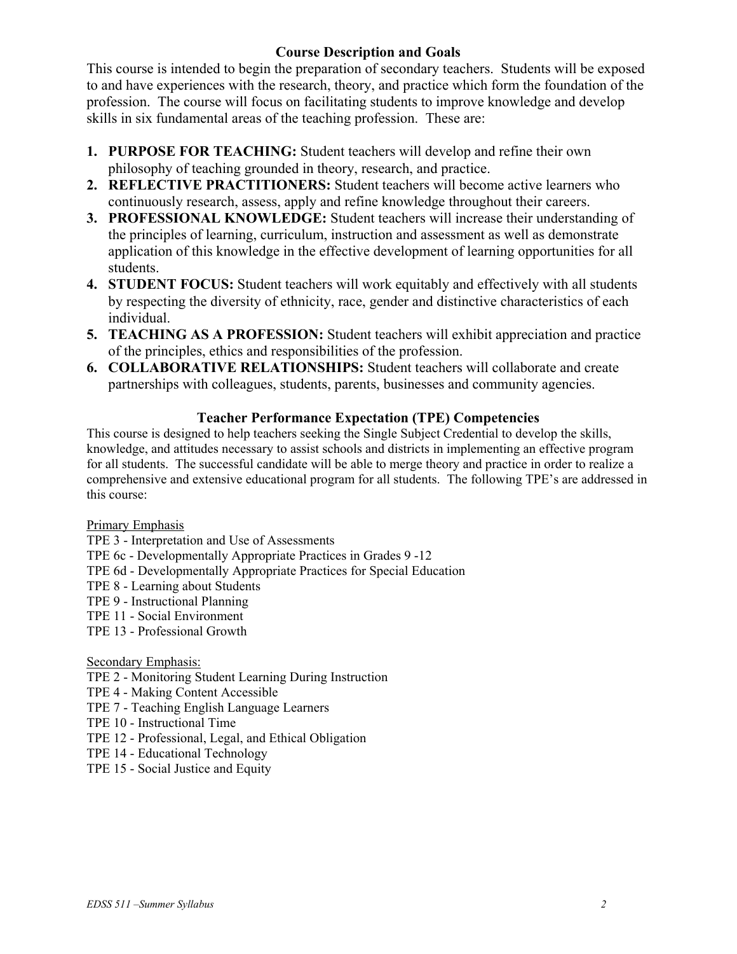# **Course Description and Goals**

This course is intended to begin the preparation of secondary teachers. Students will be exposed to and have experiences with the research, theory, and practice which form the foundation of the profession. The course will focus on facilitating students to improve knowledge and develop skills in six fundamental areas of the teaching profession. These are:

- **1. PURPOSE FOR TEACHING:** Student teachers will develop and refine their own philosophy of teaching grounded in theory, research, and practice.
- **2. REFLECTIVE PRACTITIONERS:** Student teachers will become active learners who continuously research, assess, apply and refine knowledge throughout their careers.
- **3. PROFESSIONAL KNOWLEDGE:** Student teachers will increase their understanding of the principles of learning, curriculum, instruction and assessment as well as demonstrate application of this knowledge in the effective development of learning opportunities for all students.
- **4. STUDENT FOCUS:** Student teachers will work equitably and effectively with all students by respecting the diversity of ethnicity, race, gender and distinctive characteristics of each individual.
- **5. TEACHING AS A PROFESSION:** Student teachers will exhibit appreciation and practice of the principles, ethics and responsibilities of the profession.
- **6. COLLABORATIVE RELATIONSHIPS:** Student teachers will collaborate and create partnerships with colleagues, students, parents, businesses and community agencies.

# **Teacher Performance Expectation (TPE) Competencies**

This course is designed to help teachers seeking the Single Subject Credential to develop the skills, knowledge, and attitudes necessary to assist schools and districts in implementing an effective program for all students. The successful candidate will be able to merge theory and practice in order to realize a comprehensive and extensive educational program for all students. The following TPE's are addressed in this course:

# Primary Emphasis

- TPE 3 Interpretation and Use of Assessments
- TPE 6c Developmentally Appropriate Practices in Grades 9 -12
- TPE 6d Developmentally Appropriate Practices for Special Education
- TPE 8 Learning about Students
- TPE 9 Instructional Planning
- TPE 11 Social Environment
- TPE 13 Professional Growth

# Secondary Emphasis:

- TPE 2 Monitoring Student Learning During Instruction
- TPE 4 Making Content Accessible
- TPE 7 Teaching English Language Learners
- TPE 10 Instructional Time
- TPE 12 Professional, Legal, and Ethical Obligation
- TPE 14 Educational Technology
- TPE 15 Social Justice and Equity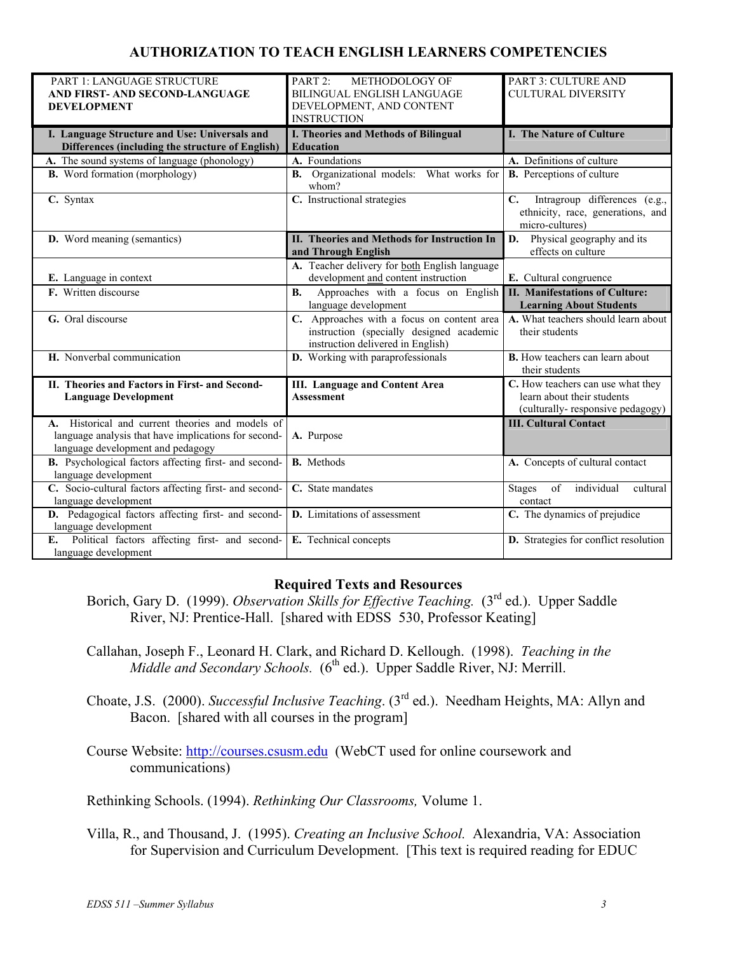# **AUTHORIZATION TO TEACH ENGLISH LEARNERS COMPETENCIES**

| PART 1: LANGUAGE STRUCTURE                             | PART 2:<br>METHODOLOGY OF                                          | PART 3: CULTURE AND                                                                                   |
|--------------------------------------------------------|--------------------------------------------------------------------|-------------------------------------------------------------------------------------------------------|
| AND FIRST- AND SECOND-LANGUAGE                         | BILINGUAL ENGLISH LANGUAGE                                         | <b>CULTURAL DIVERSITY</b>                                                                             |
| <b>DEVELOPMENT</b>                                     | DEVELOPMENT, AND CONTENT                                           |                                                                                                       |
|                                                        | <b>INSTRUCTION</b>                                                 |                                                                                                       |
| I. Language Structure and Use: Universals and          | I. Theories and Methods of Bilingual                               | I. The Nature of Culture                                                                              |
| Differences (including the structure of English)       | <b>Education</b>                                                   |                                                                                                       |
| A. The sound systems of language (phonology)           | A. Foundations                                                     | A. Definitions of culture                                                                             |
| <b>B.</b> Word formation (morphology)                  | B. Organizational models: What works for<br>whom?                  | <b>B.</b> Perceptions of culture                                                                      |
| C. Syntax                                              | C. Instructional strategies                                        | Intragroup differences (e.g.,<br>$\mathbf{C}$<br>ethnicity, race, generations, and<br>micro-cultures) |
| D. Word meaning (semantics)                            | II. Theories and Methods for Instruction In<br>and Through English | D. Physical geography and its<br>effects on culture                                                   |
|                                                        | A. Teacher delivery for both English language                      |                                                                                                       |
| E. Language in context                                 | development and content instruction                                | E. Cultural congruence                                                                                |
| F. Written discourse                                   | Approaches with a focus on English<br><b>B.</b>                    | <b>II. Manifestations of Culture:</b>                                                                 |
|                                                        | language development                                               | <b>Learning About Students</b>                                                                        |
| G. Oral discourse                                      | C. Approaches with a focus on content area                         | A. What teachers should learn about                                                                   |
|                                                        | instruction (specially designed academic                           | their students                                                                                        |
|                                                        | instruction delivered in English)                                  |                                                                                                       |
| H. Nonverbal communication                             | D. Working with paraprofessionals                                  | <b>B.</b> How teachers can learn about<br>their students                                              |
| II. Theories and Factors in First- and Second-         | <b>III.</b> Language and Content Area                              | C. How teachers can use what they                                                                     |
| <b>Language Development</b>                            | <b>Assessment</b>                                                  | learn about their students                                                                            |
|                                                        |                                                                    | (culturally-responsive pedagogy)                                                                      |
| A. Historical and current theories and models of       |                                                                    | <b>III. Cultural Contact</b>                                                                          |
| language analysis that have implications for second-   | A. Purpose                                                         |                                                                                                       |
| language development and pedagogy                      |                                                                    |                                                                                                       |
| B. Psychological factors affecting first- and second-  | <b>B.</b> Methods                                                  | A. Concepts of cultural contact                                                                       |
| language development                                   |                                                                    |                                                                                                       |
| C. Socio-cultural factors affecting first- and second- | C. State mandates                                                  | individual<br>of<br>cultural<br><b>Stages</b>                                                         |
| language development                                   |                                                                    | contact                                                                                               |
| D. Pedagogical factors affecting first- and second-    | <b>D.</b> Limitations of assessment                                | C. The dynamics of prejudice                                                                          |
| language development                                   |                                                                    |                                                                                                       |
| Political factors affecting first- and second-<br>E.   | E. Technical concepts                                              | D. Strategies for conflict resolution                                                                 |
| language development                                   |                                                                    |                                                                                                       |

#### **Required Texts and Resources**

- Borich, Gary D. (1999). *Observation Skills for Effective Teaching.* (3<sup>rd</sup> ed.). Upper Saddle River, NJ: Prentice-Hall. [shared with EDSS 530, Professor Keating]
- Callahan, Joseph F., Leonard H. Clark, and Richard D. Kellough. (1998). *Teaching in the Middle and Secondary Schools.* (6<sup>th</sup> ed.). Upper Saddle River, NJ: Merrill.
- Choate, J.S. (2000). *Successful Inclusive Teaching*. (3rd ed.). Needham Heights, MA: Allyn and Bacon. [shared with all courses in the program]

Course Website: [http://courses.csusm.edu](http://courses.csusm.edu/) (WebCT used for online coursework and communications)

Rethinking Schools. (1994). *Rethinking Our Classrooms,* Volume 1.

Villa, R., and Thousand, J. (1995). *Creating an Inclusive School.* Alexandria, VA: Association for Supervision and Curriculum Development. [This text is required reading for EDUC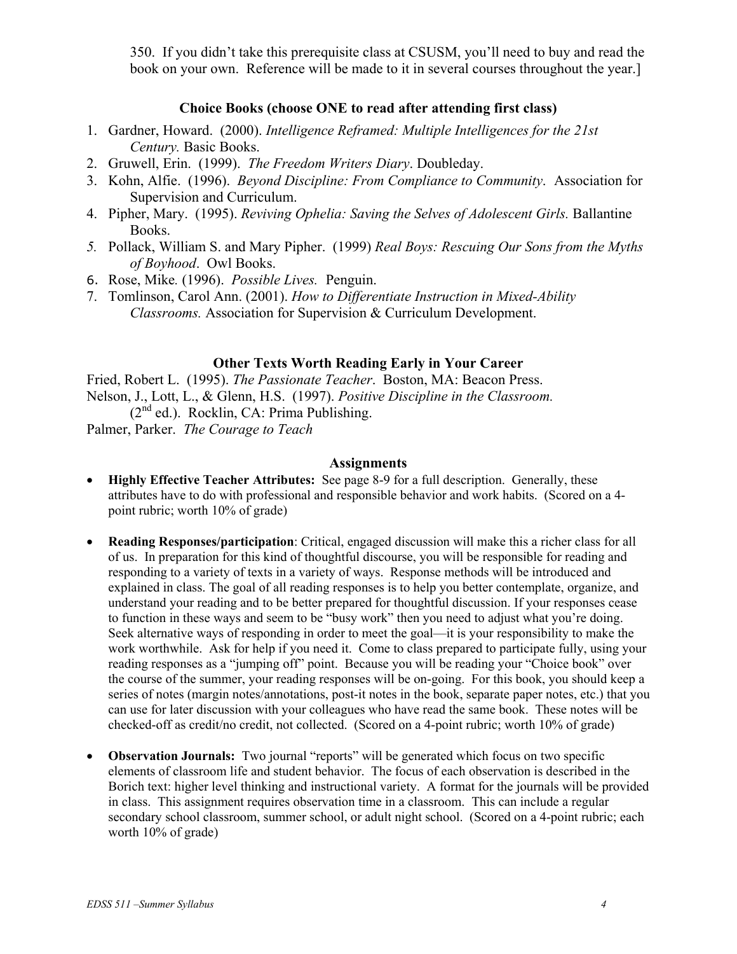350. If you didn't take this prerequisite class at CSUSM, you'll need to buy and read the book on your own. Reference will be made to it in several courses throughout the year.]

## **Choice Books (choose ONE to read after attending first class)**

- 1. Gardner, Howard. (2000). *Intelligence Reframed: Multiple Intelligences for the 21st Century.* Basic Books.
- 2. Gruwell, Erin. (1999). *The Freedom Writers Diary*. Doubleday.
- 3. Kohn, Alfie. (1996). *Beyond Discipline: From Compliance to Community*. Association for Supervision and Curriculum.
- 4. Pipher, Mary. (1995). *Reviving Ophelia: Saving the Selves of Adolescent Girls.* Ballantine Books.
- *5.* Pollack, William S. and Mary Pipher. (1999) *Real Boys: Rescuing Our Sons from the Myths of Boyhood*. Owl Books.
- 6. Rose, Mike*.* (1996). *Possible Lives.* Penguin.
- 7. Tomlinson, Carol Ann. (2001). *How to Differentiate Instruction in Mixed-Ability Classrooms.* Association for Supervision & Curriculum Development.

#### **Other Texts Worth Reading Early in Your Career**

Fried, Robert L. (1995). *The Passionate Teacher*. Boston, MA: Beacon Press. Nelson, J., Lott, L., & Glenn, H.S. (1997). *Positive Discipline in the Classroom.*  $(2<sup>nd</sup>$  ed.). Rocklin, CA: Prima Publishing.

Palmer, Parker. *The Courage to Teach* 

## **Assignments**

- **Highly Effective Teacher Attributes:** See page 8-9 for a full description. Generally, these attributes have to do with professional and responsible behavior and work habits. (Scored on a 4 point rubric; worth 10% of grade)
- **Reading Responses/participation**: Critical, engaged discussion will make this a richer class for all of us. In preparation for this kind of thoughtful discourse, you will be responsible for reading and responding to a variety of texts in a variety of ways. Response methods will be introduced and explained in class. The goal of all reading responses is to help you better contemplate, organize, and understand your reading and to be better prepared for thoughtful discussion. If your responses cease to function in these ways and seem to be "busy work" then you need to adjust what you're doing. Seek alternative ways of responding in order to meet the goal—it is your responsibility to make the work worthwhile. Ask for help if you need it. Come to class prepared to participate fully, using your reading responses as a "jumping off" point. Because you will be reading your "Choice book" over the course of the summer, your reading responses will be on-going. For this book, you should keep a series of notes (margin notes/annotations, post-it notes in the book, separate paper notes, etc.) that you can use for later discussion with your colleagues who have read the same book. These notes will be checked-off as credit/no credit, not collected. (Scored on a 4-point rubric; worth 10% of grade)
- **Observation Journals:** Two journal "reports" will be generated which focus on two specific elements of classroom life and student behavior. The focus of each observation is described in the Borich text: higher level thinking and instructional variety. A format for the journals will be provided in class. This assignment requires observation time in a classroom. This can include a regular secondary school classroom, summer school, or adult night school.(Scored on a 4-point rubric; each worth 10% of grade)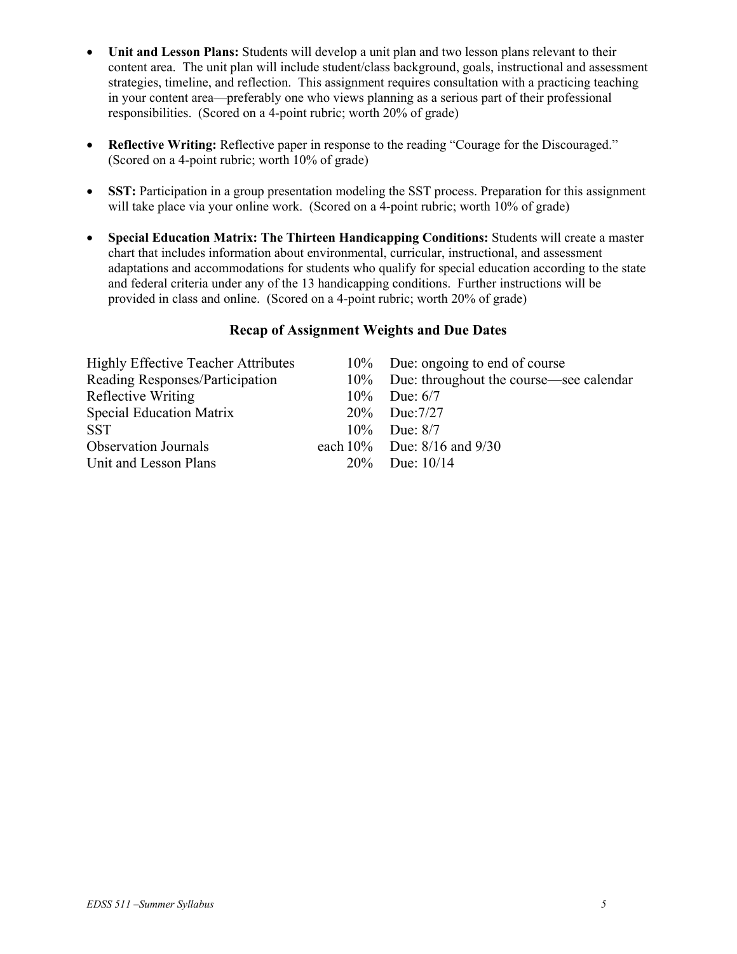- **Unit and Lesson Plans:** Students will develop a unit plan and two lesson plans relevant to their content area. The unit plan will include student/class background, goals, instructional and assessment strategies, timeline, and reflection. This assignment requires consultation with a practicing teaching in your content area—preferably one who views planning as a serious part of their professional responsibilities. (Scored on a 4-point rubric; worth 20% of grade)
- **Reflective Writing:** Reflective paper in response to the reading "Courage for the Discouraged." (Scored on a 4-point rubric; worth 10% of grade)
- **SST:** Participation in a group presentation modeling the SST process. Preparation for this assignment will take place via your online work. (Scored on a 4-point rubric; worth 10% of grade)
- **Special Education Matrix: The Thirteen Handicapping Conditions:** Students will create a master chart that includes information about environmental, curricular, instructional, and assessment adaptations and accommodations for students who qualify for special education according to the state and federal criteria under any of the 13 handicapping conditions. Further instructions will be provided in class and online.(Scored on a 4-point rubric; worth 20% of grade) •

## **Recap of Assignment Weights and Due Dates**

| 10% Due: ongoing to end of course           |
|---------------------------------------------|
| 10% Due: throughout the course—see calendar |
| 10\% Due: $6/7$                             |
| 20% Due:7/27                                |
| $10\%$ Due: $8/7$                           |
| each $10\%$ Due: $8/16$ and $9/30$          |
| $20\%$ Due: $10/14$                         |
|                                             |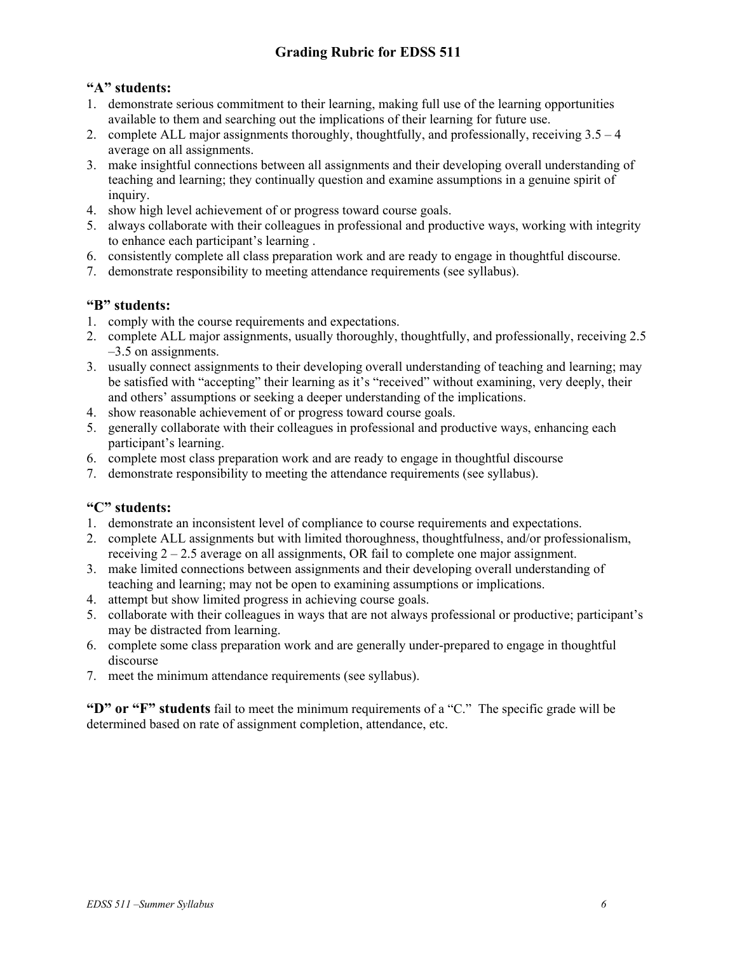# **Grading Rubric for EDSS 511**

# **"A" students:**

- 1. demonstrate serious commitment to their learning, making full use of the learning opportunities available to them and searching out the implications of their learning for future use.
- 2. complete ALL major assignments thoroughly, thoughtfully, and professionally, receiving 3.5 4 average on all assignments.
- 3. make insightful connections between all assignments and their developing overall understanding of teaching and learning; they continually question and examine assumptions in a genuine spirit of inquiry.
- 4. show high level achievement of or progress toward course goals.
- 5. always collaborate with their colleagues in professional and productive ways, working with integrity to enhance each participant's learning .
- 6. consistently complete all class preparation work and are ready to engage in thoughtful discourse.
- 7. demonstrate responsibility to meeting attendance requirements (see syllabus).

# **"B" students:**

- 1. comply with the course requirements and expectations.
- 2. complete ALL major assignments, usually thoroughly, thoughtfully, and professionally, receiving 2.5 –3.5 on assignments.
- 3. usually connect assignments to their developing overall understanding of teaching and learning; may be satisfied with "accepting" their learning as it's "received" without examining, very deeply, their and others' assumptions or seeking a deeper understanding of the implications.
- 4. show reasonable achievement of or progress toward course goals.
- 5. generally collaborate with their colleagues in professional and productive ways, enhancing each participant's learning.
- 6. complete most class preparation work and are ready to engage in thoughtful discourse
- 7. demonstrate responsibility to meeting the attendance requirements (see syllabus).

# **"C" students:**

- 1. demonstrate an inconsistent level of compliance to course requirements and expectations.
- 2. complete ALL assignments but with limited thoroughness, thoughtfulness, and/or professionalism, receiving  $2 - 2.5$  average on all assignments, OR fail to complete one major assignment.
- 3. make limited connections between assignments and their developing overall understanding of teaching and learning; may not be open to examining assumptions or implications.
- 4. attempt but show limited progress in achieving course goals.
- 5. collaborate with their colleagues in ways that are not always professional or productive; participant's may be distracted from learning.
- 6. complete some class preparation work and are generally under-prepared to engage in thoughtful discourse
- 7. meet the minimum attendance requirements (see syllabus).

**"D" or "F" students** fail to meet the minimum requirements of a "C." The specific grade will be determined based on rate of assignment completion, attendance, etc.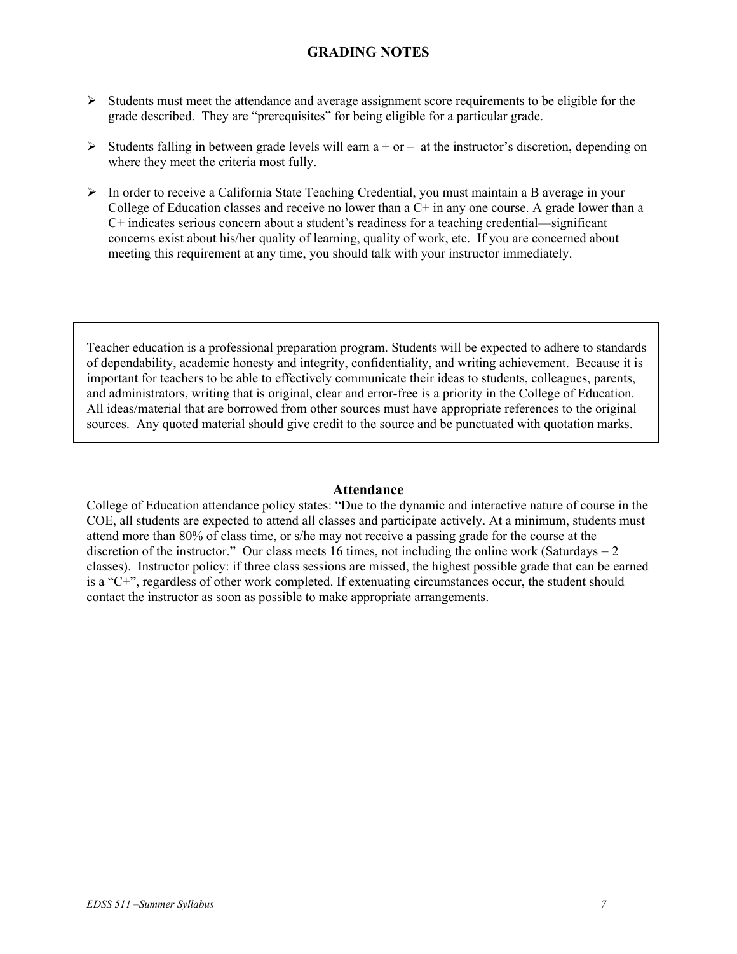# **GRADING NOTES**

- ¾ Students must meet the attendance and average assignment score requirements to be eligible for the grade described. They are "prerequisites" for being eligible for a particular grade.
- $\triangleright$  Students falling in between grade levels will earn a + or at the instructor's discretion, depending on where they meet the criteria most fully.
- ¾ In order to receive a California State Teaching Credential, you must maintain a B average in your College of Education classes and receive no lower than a  $C<sup>+</sup>$  in any one course. A grade lower than a C+ indicates serious concern about a student's readiness for a teaching credential—significant concerns exist about his/her quality of learning, quality of work, etc. If you are concerned about meeting this requirement at any time, you should talk with your instructor immediately.

Teacher education is a professional preparation program. Students will be expected to adhere to standards of dependability, academic honesty and integrity, confidentiality, and writing achievement. Because it is important for teachers to be able to effectively communicate their ideas to students, colleagues, parents, and administrators, writing that is original, clear and error-free is a priority in the College of Education. All ideas/material that are borrowed from other sources must have appropriate references to the original sources. Any quoted material should give credit to the source and be punctuated with quotation marks.

#### **Attendance**

College of Education attendance policy states: "Due to the dynamic and interactive nature of course in the COE, all students are expected to attend all classes and participate actively. At a minimum, students must attend more than 80% of class time, or s/he may not receive a passing grade for the course at the discretion of the instructor." Our class meets 16 times, not including the online work (Saturdays  $= 2$ ) classes). Instructor policy: if three class sessions are missed, the highest possible grade that can be earned is a "C+", regardless of other work completed. If extenuating circumstances occur, the student should contact the instructor as soon as possible to make appropriate arrangements.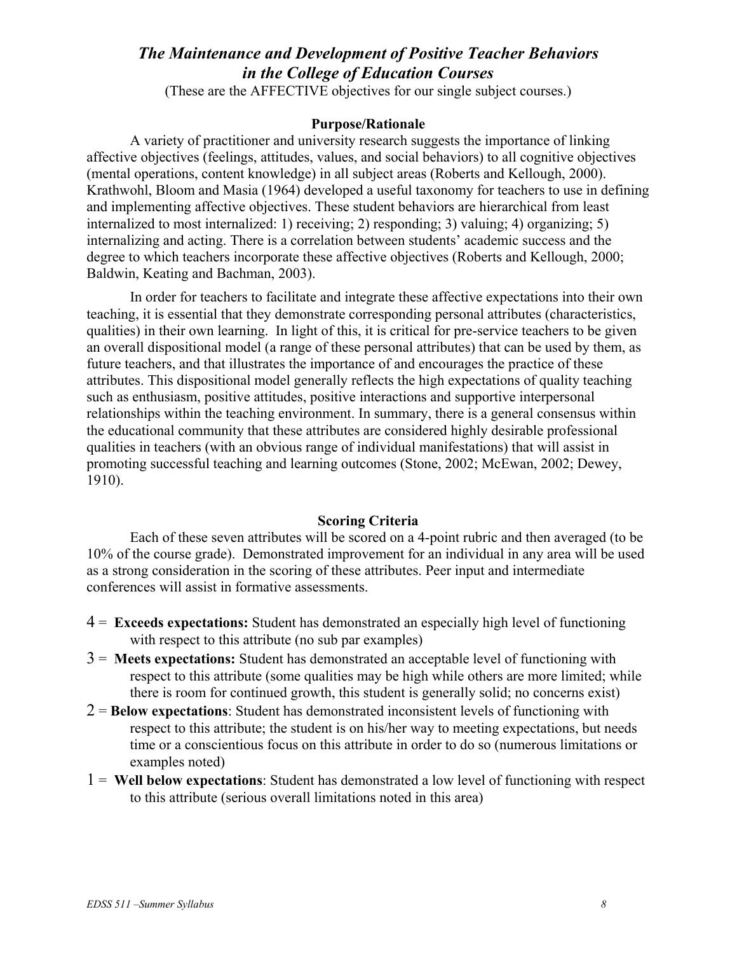# *The Maintenance and Development of Positive Teacher Behaviors in the College of Education Courses*

(These are the AFFECTIVE objectives for our single subject courses.)

#### **Purpose/Rationale**

A variety of practitioner and university research suggests the importance of linking affective objectives (feelings, attitudes, values, and social behaviors) to all cognitive objectives (mental operations, content knowledge) in all subject areas (Roberts and Kellough, 2000). Krathwohl, Bloom and Masia (1964) developed a useful taxonomy for teachers to use in defining and implementing affective objectives. These student behaviors are hierarchical from least internalized to most internalized: 1) receiving; 2) responding; 3) valuing; 4) organizing; 5) internalizing and acting. There is a correlation between students' academic success and the degree to which teachers incorporate these affective objectives (Roberts and Kellough, 2000; Baldwin, Keating and Bachman, 2003).

In order for teachers to facilitate and integrate these affective expectations into their own teaching, it is essential that they demonstrate corresponding personal attributes (characteristics, qualities) in their own learning. In light of this, it is critical for pre-service teachers to be given an overall dispositional model (a range of these personal attributes) that can be used by them, as future teachers, and that illustrates the importance of and encourages the practice of these attributes. This dispositional model generally reflects the high expectations of quality teaching such as enthusiasm, positive attitudes, positive interactions and supportive interpersonal relationships within the teaching environment. In summary, there is a general consensus within the educational community that these attributes are considered highly desirable professional qualities in teachers (with an obvious range of individual manifestations) that will assist in promoting successful teaching and learning outcomes (Stone, 2002; McEwan, 2002; Dewey, 1910).

#### **Scoring Criteria**

Each of these seven attributes will be scored on a 4-point rubric and then averaged (to be 10% of the course grade). Demonstrated improvement for an individual in any area will be used as a strong consideration in the scoring of these attributes. Peer input and intermediate conferences will assist in formative assessments.

- 4 = **Exceeds expectations:** Student has demonstrated an especially high level of functioning with respect to this attribute (no sub par examples)
- 3 = **Meets expectations:** Student has demonstrated an acceptable level of functioning with respect to this attribute (some qualities may be high while others are more limited; while there is room for continued growth, this student is generally solid; no concerns exist)
- 2 = **Below expectations**: Student has demonstrated inconsistent levels of functioning with respect to this attribute; the student is on his/her way to meeting expectations, but needs time or a conscientious focus on this attribute in order to do so (numerous limitations or examples noted)
- 1 = **Well below expectations**: Student has demonstrated a low level of functioning with respect to this attribute (serious overall limitations noted in this area)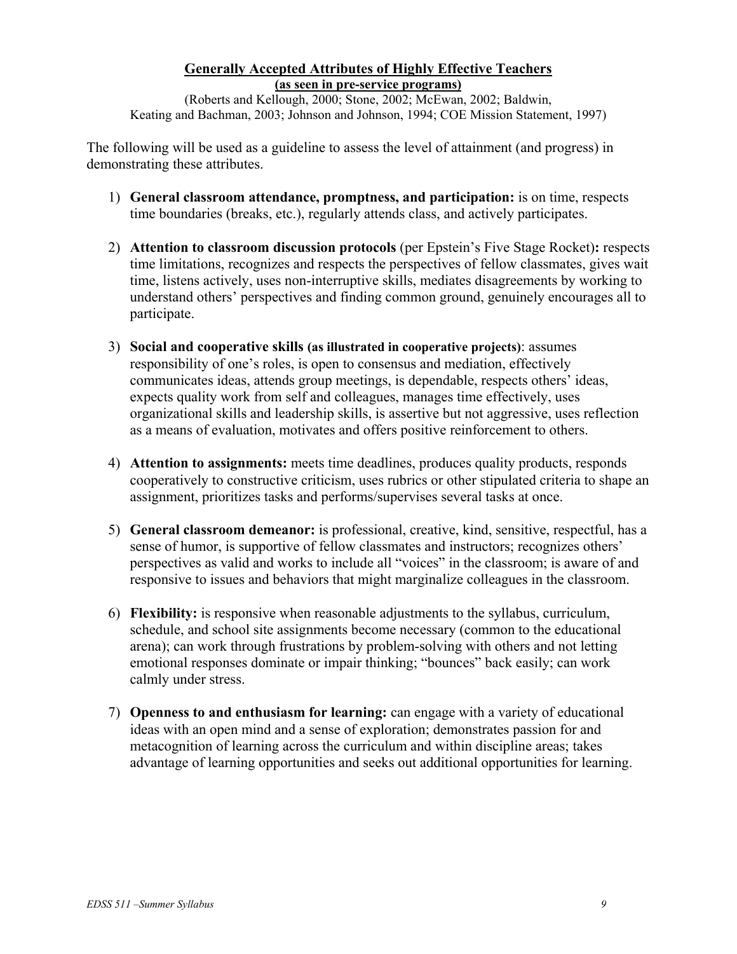## **Generally Accepted Attributes of Highly Effective Teachers (as seen in pre-service programs)**

(Roberts and Kellough, 2000; Stone, 2002; McEwan, 2002; Baldwin, Keating and Bachman, 2003; Johnson and Johnson, 1994; COE Mission Statement, 1997)

The following will be used as a guideline to assess the level of attainment (and progress) in demonstrating these attributes.

- 1) **General classroom attendance, promptness, and participation:** is on time, respects time boundaries (breaks, etc.), regularly attends class, and actively participates.
- 2) **Attention to classroom discussion protocols** (per Epstein's Five Stage Rocket)**:** respects time limitations, recognizes and respects the perspectives of fellow classmates, gives wait time, listens actively, uses non-interruptive skills, mediates disagreements by working to understand others' perspectives and finding common ground, genuinely encourages all to participate.
- 3) **Social and cooperative skills (as illustrated in cooperative projects)**: assumes responsibility of one's roles, is open to consensus and mediation, effectively communicates ideas, attends group meetings, is dependable, respects others' ideas, expects quality work from self and colleagues, manages time effectively, uses organizational skills and leadership skills, is assertive but not aggressive, uses reflection as a means of evaluation, motivates and offers positive reinforcement to others.
- 4) **Attention to assignments:** meets time deadlines, produces quality products, responds cooperatively to constructive criticism, uses rubrics or other stipulated criteria to shape an assignment, prioritizes tasks and performs/supervises several tasks at once.
- 5) **General classroom demeanor:** is professional, creative, kind, sensitive, respectful, has a sense of humor, is supportive of fellow classmates and instructors; recognizes others' perspectives as valid and works to include all "voices" in the classroom; is aware of and responsive to issues and behaviors that might marginalize colleagues in the classroom.
- 6) **Flexibility:** is responsive when reasonable adjustments to the syllabus, curriculum, schedule, and school site assignments become necessary (common to the educational arena); can work through frustrations by problem-solving with others and not letting emotional responses dominate or impair thinking; "bounces" back easily; can work calmly under stress.
- 7) **Openness to and enthusiasm for learning:** can engage with a variety of educational ideas with an open mind and a sense of exploration; demonstrates passion for and metacognition of learning across the curriculum and within discipline areas; takes advantage of learning opportunities and seeks out additional opportunities for learning.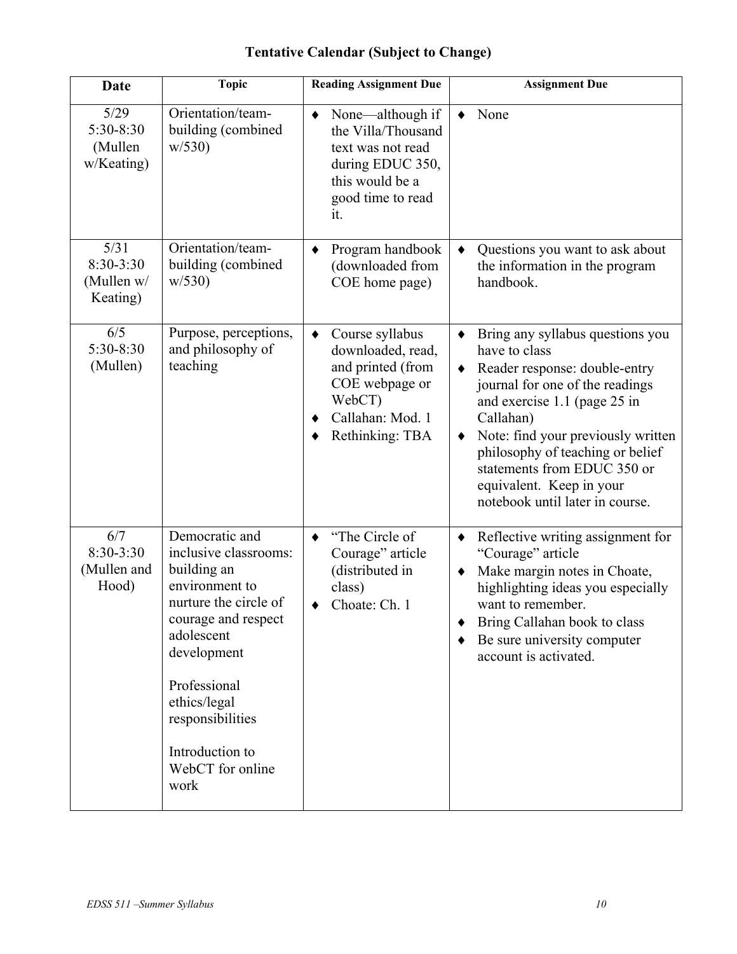| <b>Tentative Calendar (Subject to Change)</b> |  |  |
|-----------------------------------------------|--|--|
|-----------------------------------------------|--|--|

| <b>Date</b>                                 | <b>Topic</b>                                                                                                                                                                                                                                             | <b>Reading Assignment Due</b>                                                                                                                     | <b>Assignment Due</b>                                                                                                                                                                                                                                                                                                                                        |
|---------------------------------------------|----------------------------------------------------------------------------------------------------------------------------------------------------------------------------------------------------------------------------------------------------------|---------------------------------------------------------------------------------------------------------------------------------------------------|--------------------------------------------------------------------------------------------------------------------------------------------------------------------------------------------------------------------------------------------------------------------------------------------------------------------------------------------------------------|
| 5/29<br>5:30-8:30<br>(Mullen<br>w/Keating)  | Orientation/team-<br>building (combined<br>w/530                                                                                                                                                                                                         | None—although if<br>$\blacklozenge$<br>the Villa/Thousand<br>text was not read<br>during EDUC 350,<br>this would be a<br>good time to read<br>it. | None                                                                                                                                                                                                                                                                                                                                                         |
| 5/31<br>8:30-3:30<br>(Mullen w/<br>Keating) | Orientation/team-<br>building (combined<br>w/530                                                                                                                                                                                                         | Program handbook<br>٠<br>(downloaded from<br>COE home page)                                                                                       | Questions you want to ask about<br>the information in the program<br>handbook.                                                                                                                                                                                                                                                                               |
| 6/5<br>5:30-8:30<br>(Mullen)                | Purpose, perceptions,<br>and philosophy of<br>teaching                                                                                                                                                                                                   | Course syllabus<br>$\bullet$<br>downloaded, read,<br>and printed (from<br>COE webpage or<br>WebCT)<br>Callahan: Mod. 1<br>Rethinking: TBA         | Bring any syllabus questions you<br>$\bullet$<br>have to class<br>Reader response: double-entry<br>٠<br>journal for one of the readings<br>and exercise 1.1 (page 25 in<br>Callahan)<br>Note: find your previously written<br>philosophy of teaching or belief<br>statements from EDUC 350 or<br>equivalent. Keep in your<br>notebook until later in course. |
| 6/7<br>$8:30-3:30$<br>(Mullen and<br>Hood)  | Democratic and<br>inclusive classrooms:<br>building an<br>environment to<br>nurture the circle of<br>courage and respect<br>adolescent<br>development<br>Professional<br>ethics/legal<br>responsibilities<br>Introduction to<br>WebCT for online<br>work | "The Circle of<br>٠<br>Courage" article<br>(distributed in<br>class)<br>Choate: Ch. 1                                                             | Reflective writing assignment for<br>$\blacklozenge$<br>"Courage" article<br>Make margin notes in Choate,<br>$\bullet$<br>highlighting ideas you especially<br>want to remember.<br>Bring Callahan book to class<br>Be sure university computer<br>account is activated.                                                                                     |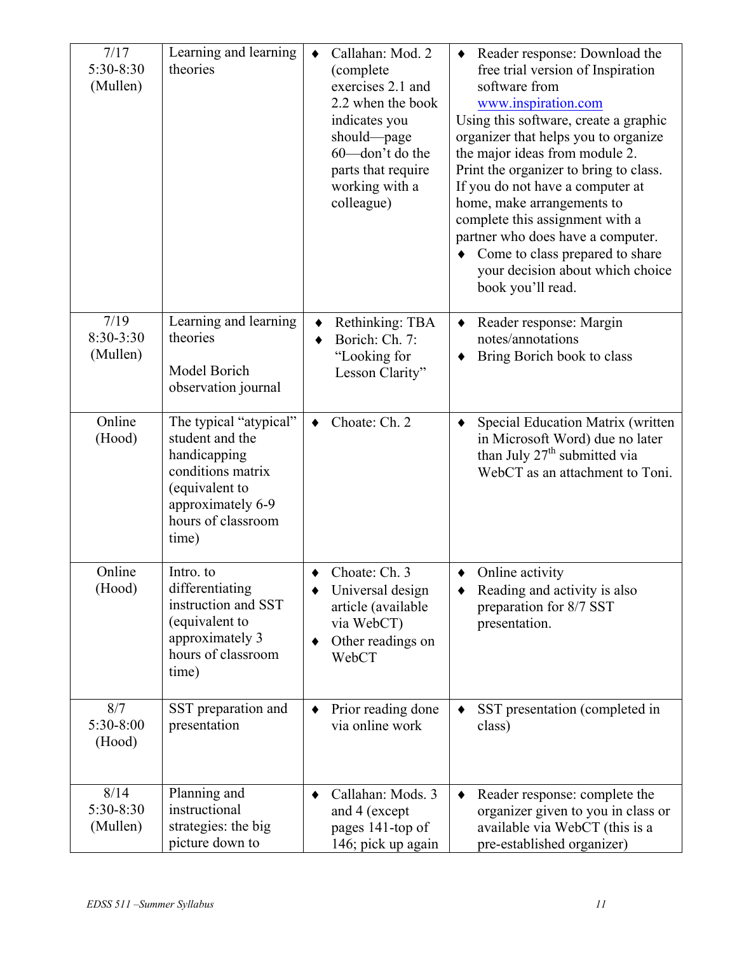| 7/17<br>5:30-8:30<br>(Mullen)   | Learning and learning<br>theories                                                                                                                    | Callahan: Mod. 2<br>$\bullet$<br>(complete)<br>exercises 2.1 and<br>2.2 when the book<br>indicates you<br>should-page<br>60-don't do the<br>parts that require<br>working with a<br>colleague) | Reader response: Download the<br>free trial version of Inspiration<br>software from<br>www.inspiration.com<br>Using this software, create a graphic<br>organizer that helps you to organize<br>the major ideas from module 2.<br>Print the organizer to bring to class.<br>If you do not have a computer at<br>home, make arrangements to<br>complete this assignment with a<br>partner who does have a computer.<br>Come to class prepared to share<br>your decision about which choice<br>book you'll read. |
|---------------------------------|------------------------------------------------------------------------------------------------------------------------------------------------------|------------------------------------------------------------------------------------------------------------------------------------------------------------------------------------------------|---------------------------------------------------------------------------------------------------------------------------------------------------------------------------------------------------------------------------------------------------------------------------------------------------------------------------------------------------------------------------------------------------------------------------------------------------------------------------------------------------------------|
| 7/19<br>$8:30-3:30$<br>(Mullen) | Learning and learning<br>theories<br>Model Borich<br>observation journal                                                                             | Rethinking: TBA<br>٠<br>Borich: Ch. 7:<br>"Looking for<br>Lesson Clarity"                                                                                                                      | Reader response: Margin<br>notes/annotations<br>Bring Borich book to class                                                                                                                                                                                                                                                                                                                                                                                                                                    |
| Online<br>(Hood)                | The typical "atypical"<br>student and the<br>handicapping<br>conditions matrix<br>(equivalent to<br>approximately 6-9<br>hours of classroom<br>time) | Choate: Ch. 2<br>$\bullet$                                                                                                                                                                     | Special Education Matrix (written<br>in Microsoft Word) due no later<br>than July 27 <sup>th</sup> submitted via<br>WebCT as an attachment to Toni.                                                                                                                                                                                                                                                                                                                                                           |
| Online<br>(Hood)                | Intro. to<br>differentiating<br>instruction and SST<br>(equivalent to<br>approximately 3<br>hours of classroom<br>time)                              | Choate: Ch. 3<br>٠<br>Universal design<br>article (available<br>via WebCT)<br>Other readings on<br>WebCT                                                                                       | Online activity<br>٠<br>Reading and activity is also<br>preparation for 8/7 SST<br>presentation.                                                                                                                                                                                                                                                                                                                                                                                                              |
| 8/7<br>5:30-8:00<br>(Hood)      | SST preparation and<br>presentation                                                                                                                  | Prior reading done<br>via online work                                                                                                                                                          | SST presentation (completed in<br>class)                                                                                                                                                                                                                                                                                                                                                                                                                                                                      |
| 8/14<br>5:30-8:30<br>(Mullen)   | Planning and<br>instructional<br>strategies: the big<br>picture down to                                                                              | Callahan: Mods. 3<br>and 4 (except<br>pages 141-top of<br>146; pick up again                                                                                                                   | Reader response: complete the<br>organizer given to you in class or<br>available via WebCT (this is a<br>pre-established organizer)                                                                                                                                                                                                                                                                                                                                                                           |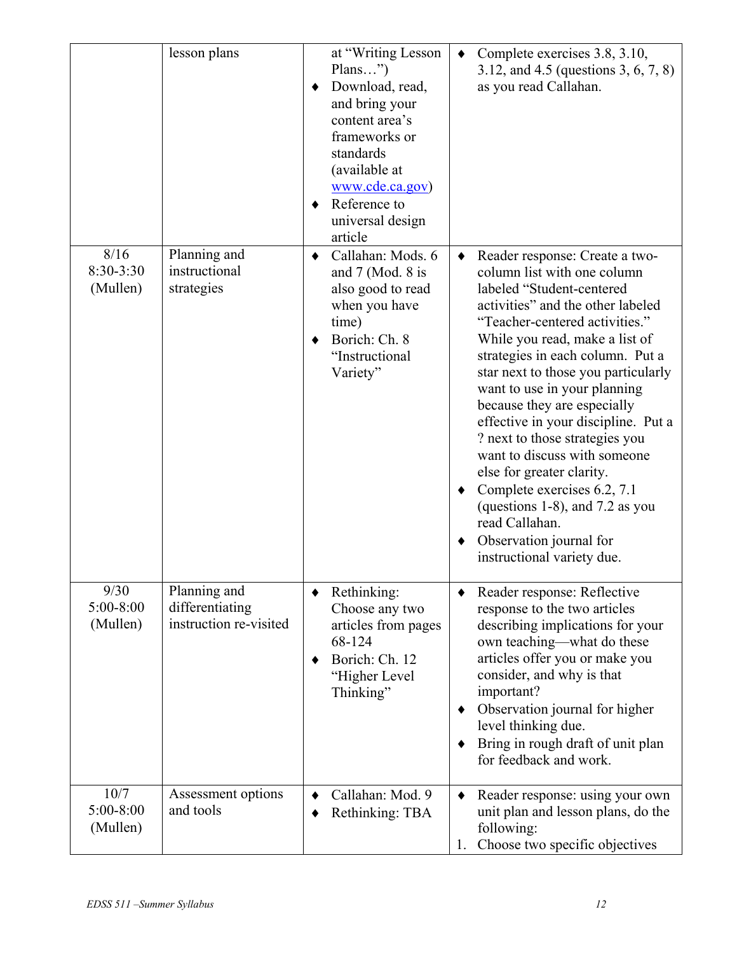|                               | lesson plans                                              | at "Writing Lesson<br>$PlanS$ ")<br>Download, read,<br>and bring your<br>content area's<br>frameworks or<br>standards<br>(available at<br>www.cde.ca.gov)<br>Reference to<br>universal design<br>article | Complete exercises 3.8, 3.10,<br>$\bullet$<br>3.12, and 4.5 (questions 3, 6, 7, 8)<br>as you read Callahan.                                                                                                                                                                                                                                                                                                                                                                                                                                                                                                                                   |
|-------------------------------|-----------------------------------------------------------|----------------------------------------------------------------------------------------------------------------------------------------------------------------------------------------------------------|-----------------------------------------------------------------------------------------------------------------------------------------------------------------------------------------------------------------------------------------------------------------------------------------------------------------------------------------------------------------------------------------------------------------------------------------------------------------------------------------------------------------------------------------------------------------------------------------------------------------------------------------------|
| 8/16<br>8:30-3:30<br>(Mullen) | Planning and<br>instructional<br>strategies               | Callahan: Mods. 6<br>$\bullet$<br>and $7$ (Mod. 8 is<br>also good to read<br>when you have<br>time)<br>Borich: Ch. 8<br>"Instructional<br>Variety"                                                       | Reader response: Create a two-<br>$\bullet$<br>column list with one column<br>labeled "Student-centered<br>activities" and the other labeled<br>"Teacher-centered activities."<br>While you read, make a list of<br>strategies in each column. Put a<br>star next to those you particularly<br>want to use in your planning<br>because they are especially<br>effective in your discipline. Put a<br>? next to those strategies you<br>want to discuss with someone<br>else for greater clarity.<br>Complete exercises 6.2, 7.1<br>(questions 1-8), and 7.2 as you<br>read Callahan.<br>Observation journal for<br>instructional variety due. |
| 9/30<br>5:00-8:00<br>(Mullen) | Planning and<br>differentiating<br>instruction re-visited | Rethinking:<br>Choose any two<br>articles from pages<br>68-124<br>Borich: Ch. 12<br>"Higher Level<br>Thinking"                                                                                           | Reader response: Reflective<br>response to the two articles<br>describing implications for your<br>own teaching—what do these<br>articles offer you or make you<br>consider, and why is that<br>important?<br>Observation journal for higher<br>level thinking due.<br>Bring in rough draft of unit plan<br>for feedback and work.                                                                                                                                                                                                                                                                                                            |
| 10/7<br>5:00-8:00<br>(Mullen) | Assessment options<br>and tools                           | Callahan: Mod. 9<br>Rethinking: TBA                                                                                                                                                                      | Reader response: using your own<br>٠<br>unit plan and lesson plans, do the<br>following:<br>Choose two specific objectives<br>1.                                                                                                                                                                                                                                                                                                                                                                                                                                                                                                              |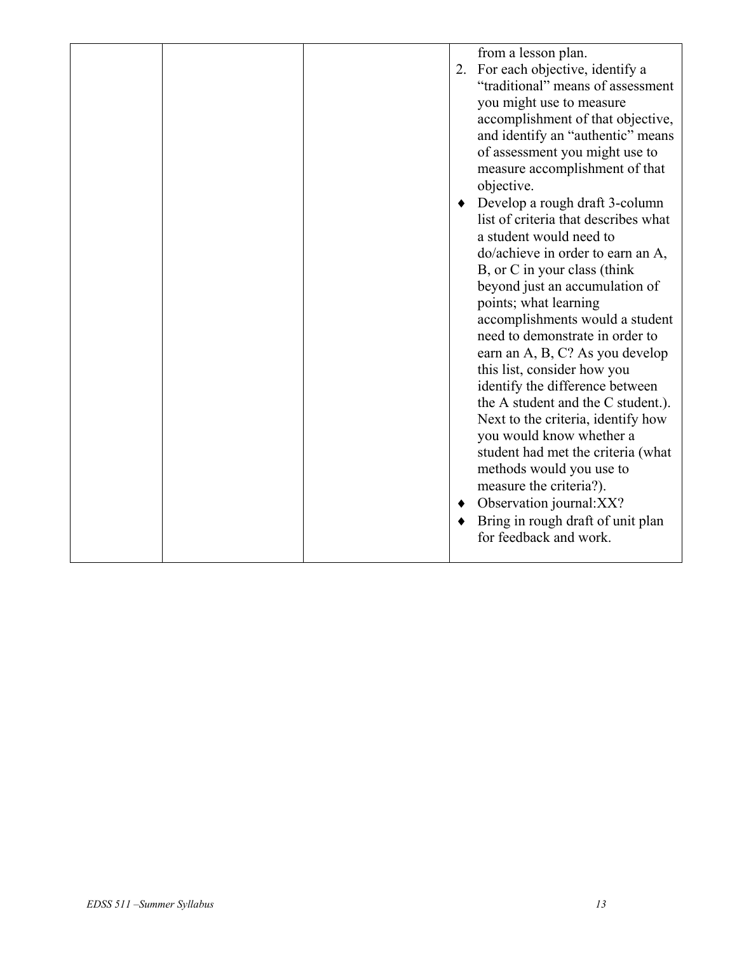|  |  |  | 2. | from a lesson plan.<br>For each objective, identify a<br>"traditional" means of assessment<br>you might use to measure<br>accomplishment of that objective,<br>and identify an "authentic" means<br>of assessment you might use to<br>measure accomplishment of that<br>objective.<br>Develop a rough draft 3-column<br>list of criteria that describes what<br>a student would need to<br>do/achieve in order to earn an A,<br>B, or C in your class (think<br>beyond just an accumulation of<br>points; what learning<br>accomplishments would a student<br>need to demonstrate in order to<br>earn an A, B, C? As you develop<br>this list, consider how you<br>identify the difference between<br>the A student and the C student.).<br>Next to the criteria, identify how<br>you would know whether a<br>student had met the criteria (what<br>methods would you use to<br>measure the criteria?).<br>Observation journal: XX?<br>Bring in rough draft of unit plan<br>for feedback and work. |
|--|--|--|----|----------------------------------------------------------------------------------------------------------------------------------------------------------------------------------------------------------------------------------------------------------------------------------------------------------------------------------------------------------------------------------------------------------------------------------------------------------------------------------------------------------------------------------------------------------------------------------------------------------------------------------------------------------------------------------------------------------------------------------------------------------------------------------------------------------------------------------------------------------------------------------------------------------------------------------------------------------------------------------------------------|
|--|--|--|----|----------------------------------------------------------------------------------------------------------------------------------------------------------------------------------------------------------------------------------------------------------------------------------------------------------------------------------------------------------------------------------------------------------------------------------------------------------------------------------------------------------------------------------------------------------------------------------------------------------------------------------------------------------------------------------------------------------------------------------------------------------------------------------------------------------------------------------------------------------------------------------------------------------------------------------------------------------------------------------------------------|